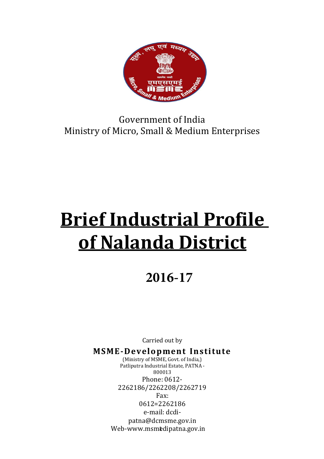

## Government of India Ministry of Micro, Small & Medium Enterprises

# Brief Industrial Profile of Nalanda District

## **2016-17**

Carried out by

MSME-Development Institute

1 Web-www.msmedipatna.gov.in (Ministry of MSME, Govt. of India,) Patliputra Industrial Estate, PATNA - 800013 Phone: 0612- 2262186/2262208/2262719 Fax: 0612=2262186 e-mail: dcdipatna@dcmsme.gov.in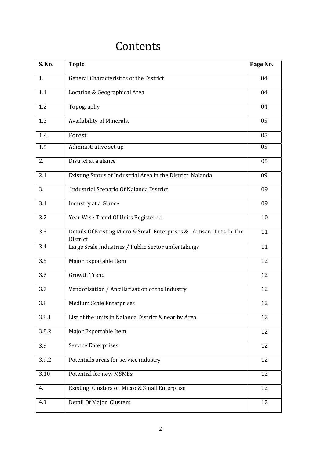## Contents

| S. No. | <b>Topic</b>                                                                     | Page No. |
|--------|----------------------------------------------------------------------------------|----------|
| 1.     | General Characteristics of the District                                          | 04       |
| 1.1    | Location & Geographical Area                                                     | 04       |
| 1.2    | Topography                                                                       | 04       |
| 1.3    | Availability of Minerals.                                                        | 05       |
| 1.4    | Forest                                                                           | 05       |
| 1.5    | Administrative set up                                                            | 05       |
| 2.     | District at a glance                                                             | 05       |
| 2.1    | Existing Status of Industrial Area in the District Nalanda                       | 09       |
| 3.     | Industrial Scenario Of Nalanda District                                          | 09       |
| 3.1    | Industry at a Glance                                                             | 09       |
| 3.2    | Year Wise Trend Of Units Registered                                              | 10       |
| 3.3    | Details Of Existing Micro & Small Enterprises & Artisan Units In The<br>District | 11       |
| 3.4    | Large Scale Industries / Public Sector undertakings                              | 11       |
| 3.5    | Major Exportable Item                                                            | 12       |
| 3.6    | <b>Growth Trend</b>                                                              | 12       |
| 3.7    | Vendorisation / Ancillarisation of the Industry                                  | 12       |
| 3.8    | <b>Medium Scale Enterprises</b>                                                  | 12       |
| 3.8.1  | List of the units in Nalanda District & near by Area                             | 12       |
| 3.8.2  | Major Exportable Item                                                            | 12       |
| 3.9    | Service Enterprises                                                              | 12       |
| 3.9.2  | Potentials areas for service industry                                            | 12       |
| 3.10   | <b>Potential for new MSMEs</b>                                                   | 12       |
| 4.     | Existing Clusters of Micro & Small Enterprise                                    | 12       |
| 4.1    | Detail Of Major Clusters                                                         | 12       |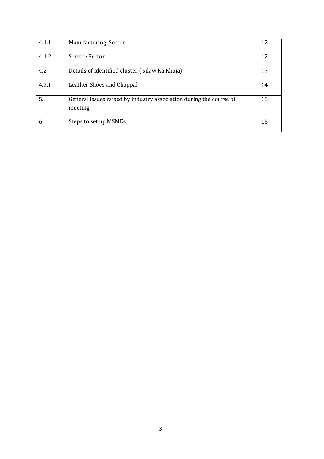| 4.1.1 | Manufacturing Sector                                                          | 12 |
|-------|-------------------------------------------------------------------------------|----|
| 4.1.2 | Service Sector                                                                | 12 |
| 4.2   | Details of Identified cluster (Silaw Ka Khaja)                                | 13 |
| 4.2.1 | Leather Shoes and Chappal                                                     | 14 |
| 5.    | General issues raised by industry association during the course of<br>meeting | 15 |
| 6     | Steps to set up MSMEs                                                         | 15 |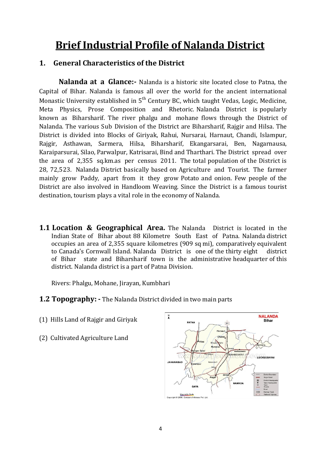## Brief Industrial Profile of Nalanda District

#### 1. General Characteristics of the District

Nalanda at a Glance:- Nalanda is a historic site located close to Patna, the Capital of Bihar. Nalanda is famous all over the world for the ancient international Monastic University established in 5<sup>th</sup> Century BC, which taught Vedas, Logic, Medicine, Meta Physics, Prose Composition and Rhetoric. Nalanda District is popularly known as Biharsharif. The river phalgu and mohane flows through the District of Nalanda. The various Sub Division of the District are Biharsharif, Rajgir and Hilsa. The District is divided into Blocks of Giriyak, Rahui, Nursarai, Harnaut, Chandi, Islampur, Rajgir, Asthawan, Sarmera, Hilsa, Biharsharif, Ekangarsarai, Ben, Nagarnausa, Karaiparsurai, Silao, Parwalpur, Katrisarai, Bind and Tharthari. The District spread over the area of 2,355 sq.km.as per census 2011. The total population of the District is 28, 72,523. Nalanda District basically based on Agriculture and Tourist. The farmer mainly grow Paddy, apart from it they grow Potato and onion. Few people of the District are also involved in Handloom Weaving. Since the District is a famous tourist destination, tourism plays a vital role in the economy of Nalanda.

**1.1 Location & Geographical Area.** The Nalanda District is located in the Indian State of Bihar about 88 Kilometre South East of Patna. Nalanda district occupies an area of 2,355 square kilometres (909 sq mi), comparatively equivalent to Canada's Cornwall Island. Nalanda District is one of the thirty eight district of Bihar state and Biharsharif town is the administrative headquarter of this district. Nalanda district is a part of Patna Division.

Rivers: Phalgu, Mohane, Jirayan, Kumbhari

- **1.2 Topography:** The Nalanda District divided in two main parts
- (1) Hills Land of Rajgir and Giriyak
- (2) Cultivated Agriculture Land

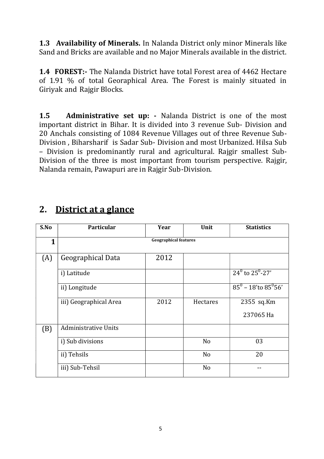1.3 Availability of Minerals. In Nalanda District only minor Minerals like Sand and Bricks are available and no Major Minerals available in the district.

1.4 FOREST:- The Nalanda District have total Forest area of 4462 Hectare of 1.91 % of total Georaphical Area. The Forest is mainly situated in Giriyak and Rajgir Blocks.

1.5 Administrative set up: - Nalanda District is one of the most important district in Bihar. It is divided into 3 revenue Sub- Division and 20 Anchals consisting of 1084 Revenue Villages out of three Revenue Sub-Division , Biharsharif is Sadar Sub- Division and most Urbanized. Hilsa Sub – Division is predominantly rural and agricultural. Rajgir smallest Sub-Division of the three is most important from tourism perspective. Rajgir, Nalanda remain, Pawapuri are in Rajgir Sub-Division.

| S.No         | <b>Particular</b>            | Year | Unit           | <b>Statistics</b>                 |  |  |  |  |
|--------------|------------------------------|------|----------------|-----------------------------------|--|--|--|--|
| $\mathbf{1}$ | <b>Geographical features</b> |      |                |                                   |  |  |  |  |
|              |                              |      |                |                                   |  |  |  |  |
| (A)          | Geographical Data            | 2012 |                |                                   |  |  |  |  |
|              | i) Latitude                  |      |                | $24^{\circ}$ to $25^{\circ}$ -27' |  |  |  |  |
|              | ii) Longitude                |      |                | $85^0 - 18$ to $85^0$ 56'         |  |  |  |  |
|              | iii) Geographical Area       | 2012 | Hectares       | 2355 sq.Km                        |  |  |  |  |
|              |                              |      |                | 237065 Ha                         |  |  |  |  |
| (B)          | <b>Administrative Units</b>  |      |                |                                   |  |  |  |  |
|              | i) Sub divisions             |      | N <sub>o</sub> | 03                                |  |  |  |  |
|              | ii) Tehsils                  |      | N <sub>o</sub> | 20                                |  |  |  |  |
|              | iii) Sub-Tehsil              |      | N <sub>o</sub> |                                   |  |  |  |  |

## 2. District at a glance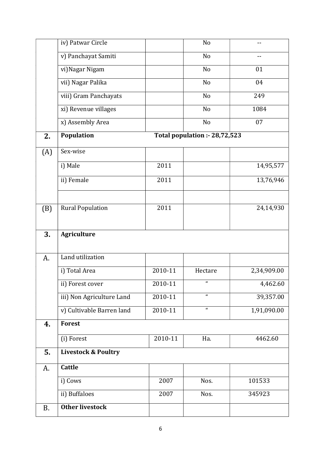|     | iv) Patwar Circle              |             | No                            |             |
|-----|--------------------------------|-------------|-------------------------------|-------------|
|     | v) Panchayat Samiti            |             | No                            | $-$         |
|     | vi) Nagar Nigam                |             | No                            | 01          |
|     | vii) Nagar Palika              |             | No                            | 04          |
|     | viii) Gram Panchayats          |             | N <sub>o</sub>                | 249         |
|     | xi) Revenue villages           |             | N <sub>o</sub>                | 1084        |
|     | x) Assembly Area               |             | No                            | 07          |
| 2.  | Population                     |             | Total population :- 28,72,523 |             |
| (A) | Sex-wise                       |             |                               |             |
|     | i) Male                        | 2011        |                               | 14,95,577   |
|     | ii) Female                     | 2011        |                               | 13,76,946   |
| (B) | <b>Rural Population</b>        | 2011        |                               | 24,14,930   |
|     |                                |             |                               |             |
| 3.  | <b>Agriculture</b>             |             |                               |             |
| A.  | Land utilization               |             |                               |             |
|     | i) Total Area                  | 2010-11     | Hectare                       | 2,34,909.00 |
|     | ii) Forest cover               | 2010-11     | $\boldsymbol{a}$              | 4,462.60    |
|     | iii) Non Agriculture Land      | 2010-11     | $\pmb{\mathfrak{c}}$          | 39,357.00   |
|     | v) Cultivable Barren land      | $2010 - 11$ | $\boldsymbol{a}$              | 1,91,090.00 |
| 4.  | <b>Forest</b>                  |             |                               |             |
|     | (i) Forest                     | 2010-11     | Ha.                           | 4462.60     |
| 5.  | <b>Livestock &amp; Poultry</b> |             |                               |             |
| A.  | Cattle                         |             |                               |             |
|     | i) Cows                        | 2007        | Nos.                          | 101533      |
|     | ii) Buffaloes                  | 2007        | Nos.                          | 345923      |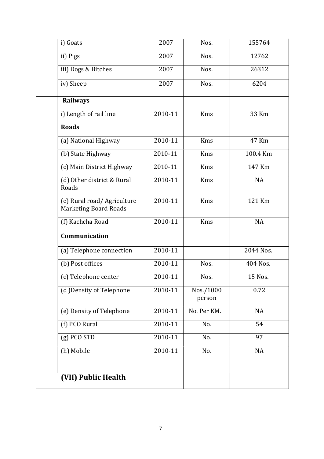| 2007    | Nos.                | 155764    |
|---------|---------------------|-----------|
| 2007    | Nos.                | 12762     |
| 2007    | Nos.                | 26312     |
| 2007    | Nos.                | 6204      |
|         |                     |           |
| 2010-11 | <b>Kms</b>          | 33 Km     |
|         |                     |           |
| 2010-11 | <b>Kms</b>          | 47 Km     |
| 2010-11 | <b>Kms</b>          | 100.4 Km  |
| 2010-11 | Kms                 | 147 Km    |
| 2010-11 | <b>Kms</b>          | <b>NA</b> |
| 2010-11 | Kms                 | 121 Km    |
| 2010-11 | <b>Kms</b>          | <b>NA</b> |
|         |                     |           |
| 2010-11 |                     | 2044 Nos. |
| 2010-11 | Nos.                | 404 Nos.  |
| 2010-11 | Nos.                | 15 Nos.   |
| 2010-11 | Nos./1000<br>person | 0.72      |
| 2010-11 | No. Per KM.         | <b>NA</b> |
| 2010-11 | No.                 | 54        |
| 2010-11 | No.                 | 97        |
| 2010-11 | No.                 | <b>NA</b> |
|         |                     |           |
|         |                     |           |
|         |                     |           |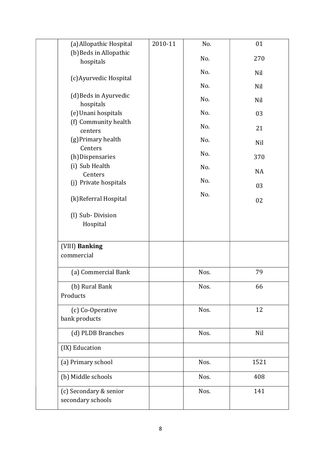| (a) Allopathic Hospital          | 2010-11 | No.  | 01        |
|----------------------------------|---------|------|-----------|
| (b) Beds in Allopathic           |         | No.  | 270       |
| hospitals                        |         |      |           |
| (c) Ayurvedic Hospital           |         | No.  | Nil       |
|                                  |         | No.  | Nil       |
| (d) Beds in Ayurvedic            |         | No.  | Nil       |
| hospitals                        |         |      |           |
| (e) Unani hospitals              |         | No.  | 03        |
| (f) Community health<br>centers  |         | No.  | 21        |
| (g) Primary health               |         | No.  |           |
| Centers                          |         |      | Nil       |
| (h) Dispensaries                 |         | No.  | 370       |
| (i) Sub Health                   |         | No.  | <b>NA</b> |
| Centers<br>(j) Private hospitals |         | No.  |           |
|                                  |         |      | 03        |
| (k) Referral Hospital            |         | No.  | 02        |
|                                  |         |      |           |
| (l) Sub-Division                 |         |      |           |
| Hospital                         |         |      |           |
| (VIII) Banking                   |         |      |           |
| commercial                       |         |      |           |
|                                  |         |      |           |
| (a) Commercial Bank              |         | Nos. | 79        |
| (b) Rural Bank                   |         | Nos. | 66        |
| Products                         |         |      |           |
| (c) Co-Operative                 |         | Nos. | 12        |
| bank products                    |         |      |           |
| (d) PLDB Branches                |         | Nos. | Nil       |
|                                  |         |      |           |
| (IX) Education                   |         |      |           |
| (a) Primary school               |         | Nos. | 1521      |
| (b) Middle schools               |         | Nos. | 408       |
| (c) Secondary & senior           |         | Nos. | 141       |
| secondary schools                |         |      |           |
|                                  |         |      |           |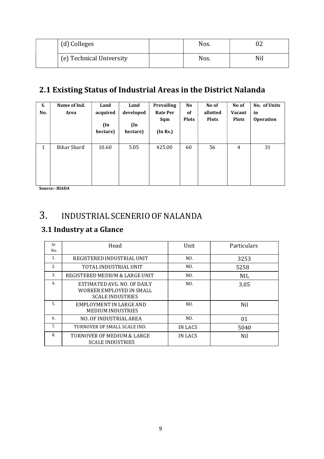| (d) Colleges             | Nos. | 02  |
|--------------------------|------|-----|
| (e) Technical University | Nos. | Nil |

## 2.1 Existing Status of Industrial Areas in the District Nalanda

| S.<br>No.    | Name of Ind.<br>Area | Land<br>acquired<br>$(\text{In})$<br>hectare) | Land<br>developed<br>$(\ln$<br>hectare) | Prevailing<br><b>Rate Per</b><br>Sqm<br>(In Rs.) | <b>No</b><br>of<br><b>Plots</b> | No of<br>allotted<br><b>Plots</b> | No of<br><b>Vacant</b><br><b>Plots</b> | No. of Units<br>in<br><b>Operation</b> |
|--------------|----------------------|-----------------------------------------------|-----------------------------------------|--------------------------------------------------|---------------------------------|-----------------------------------|----------------------------------------|----------------------------------------|
| $\mathbf{1}$ | <b>Bihar Sharif</b>  | 10.60                                         | 5.05                                    | 425.00                                           | 60                              | 56                                | 4                                      | 31                                     |

Source:- BIADA

## 3. INDUSTRIAL SCENERIO OF NALANDA

#### 3.1 Industry at a Glance

| Sr<br>No | Head                                                                               | Unit    | Particulars |
|----------|------------------------------------------------------------------------------------|---------|-------------|
| 1.       | REGISTERED INDUSTRIAL UNIT                                                         | NO.     | 3253        |
| 2.       | TOTAL INDUSTRIAL UNIT                                                              | NO.     | 5258        |
| 3.       | REGISTERED MEDIUM & LARGE UNIT                                                     | NO.     | <b>NIL</b>  |
| 4.       | ESTIMATED AVG. NO. OF DAILY<br>WORKER EMPLOYED IN SMALL<br><b>SCALE INDUSTRIES</b> | NO.     | 3.05        |
| 5.       | EMPLOYMENT IN LARGE AND<br><b>MEDIUM INDUSTRIES</b>                                | NO.     | <b>Nil</b>  |
| 6.       | NO. OF INDUSTRIAL AREA                                                             | NO.     | 01          |
| 7.       | TURNOVER OF SMALL SCALE IND.                                                       | IN LACS | 5040        |
| 8.       | TURNOVER OF MEDIUM & LARGE<br><b>SCALE INDUSTRIES</b>                              | IN LACS | Nil         |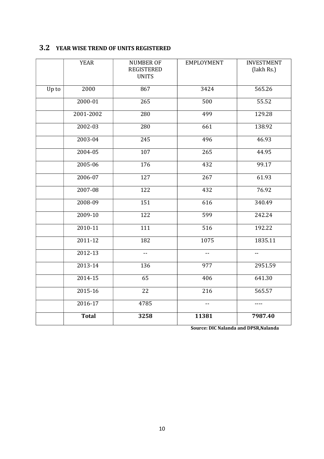#### 3.2 YEAR WISE TREND OF UNITS REGISTERED

|       | <b>YEAR</b>  | <b>NUMBER OF</b><br><b>REGISTERED</b><br><b>UNITS</b> | <b>EMPLOYMENT</b> | <b>INVESTMENT</b><br>(lakh Rs.) |
|-------|--------------|-------------------------------------------------------|-------------------|---------------------------------|
| Up to | 2000         | 867                                                   | 3424              | 565.26                          |
|       | 2000-01      | 265                                                   | 500               | 55.52                           |
|       | 2001-2002    | 280                                                   | 499               | 129.28                          |
|       | 2002-03      | 280                                                   | 661               | 138.92                          |
|       | 2003-04      | 245                                                   | 496               | 46.93                           |
|       | 2004-05      | 107                                                   | 265               | 44.95                           |
|       | 2005-06      | 176                                                   | 432               | 99.17                           |
|       | 2006-07      | $\overline{127}$                                      | $\overline{267}$  | 61.93                           |
|       | 2007-08      | 122                                                   | 432               | 76.92                           |
|       | 2008-09      | 151                                                   | 616               | 340.49                          |
|       | 2009-10      | 122                                                   | 599               | 242.24                          |
|       | $2010 - 11$  | 111                                                   | $\overline{516}$  | 192.22                          |
|       | $2011 - 12$  | 182                                                   | 1075              | 1835.11                         |
|       | 2012-13      | $- -$                                                 | --                | $-$                             |
|       | 2013-14      | 136                                                   | 977               | 2951.59                         |
|       | $2014 - 15$  | 65                                                    | 406               | 641.30                          |
|       | 2015-16      | 22                                                    | 216               | 565.57                          |
|       | 2016-17      | 4785                                                  | $- -$             | ----                            |
|       | <b>Total</b> | 3258                                                  | 11381             | 7987.40                         |

Source: DIC Nalanda and DPSR,Nalanda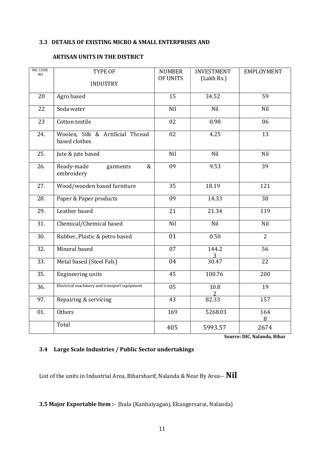#### 3.3 DETAILS OF EXISTING MICRO & SMALL ENTERPRISES AND

#### ARTISAN UNITS IN THE DISTRICT

| NIC CODE<br>NO. | TYPE OF<br><b>INDUSTRY</b>                        | <b>NUMBER</b><br>OF UNITS | <b>INVESTMENT</b><br>(Lakh Rs.) | <b>EMPLOYMENT</b> |
|-----------------|---------------------------------------------------|---------------------------|---------------------------------|-------------------|
| 20              | Agro based                                        | 15                        | 34.52                           | 59                |
| 22              | Soda water                                        | Nil                       | Nil                             | Nil               |
| 23              | Cotton textile                                    | 02                        | 0.98                            | 06                |
| 24.             | Woolen, Silk & Artificial Thread<br>based clothes | 02                        | 4.25                            | 13                |
| 25.             | Jute & jute based                                 | Nil                       | Nil                             | Nil               |
| 26.             | Ready-made<br>garments<br>&<br>embroidery         | 09                        | 9.53                            | 39                |
| 27.             | Wood/wooden based furniture                       | 35                        | 18.19                           | 121               |
| 28.             | Paper & Paper products                            | 09                        | 14.33                           | 38                |
| 29.             | Leather based                                     | 21                        | 21.34                           | 119               |
| 31.             | Chemical/Chemical based                           | Nil                       | Nil                             | Nil               |
| 30.             | Rubber, Plastic & petro based                     | $\overline{01}$           | 0.50                            | $\overline{2}$    |
| 32.             | Mineral based                                     | 07                        | 144.2                           | 56                |
| 33.             | Metal based (Steel Fab.)                          | $\overline{04}$           | $\frac{3}{30.47}$               | $\overline{22}$   |
| 35.             | <b>Engineering units</b>                          | 45                        | 100.76                          | 200               |
| 36.             | Electrical machinery and transport equipment      | $\overline{05}$           | 10.8                            | 19                |
| 97.             | Repairing & servicing                             | 43                        | 82.33                           | 157               |
| 01.             | Others                                            | 169                       | 5268.03                         | 164<br>8          |
|                 | Total                                             | 405                       | 5993.57                         | 2674              |

Source: DIC, Nalanda, Bihar

#### 3.4 Large Scale Industries / Public Sector undertakings

List of the units in Industrial Area, Biharsharif, Nalanda & Near By Area-- Nil

3.5 Major Exportable Item :- Jhula (Kanhaiyaganj, Ekangersarai, Nalanda)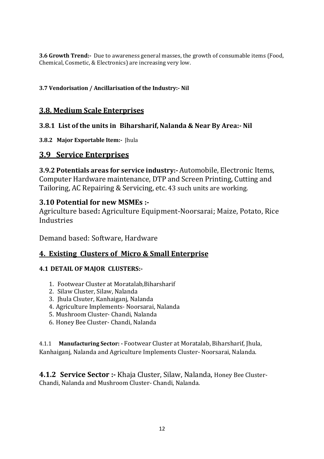3.6 Growth Trend:- Due to awareness general masses, the growth of consumable items (Food, Chemical, Cosmetic, & Electronics) are increasing very low.

#### 3.7 Vendorisation / Ancillarisation of the Industry:- Nil

#### 3.8. Medium Scale Enterprises

#### 3.8.1 List of the units in Biharsharif, Nalanda & Near By Area:- Nil

3.8.2 Major Exportable Item:- Jhula

#### 3.9 Service Enterprises

3.9.2 Potentials areas for service industry:- Automobile, Electronic Items, Computer Hardware maintenance, DTP and Screen Printing, Cutting and Tailoring, AC Repairing & Servicing, etc. 43 such units are working.

#### 3.10 Potential for new MSMEs :-

Agriculture based: Agriculture Equipment-Noorsarai; Maize, Potato, Rice **Industries** 

Demand based: Software, Hardware

#### 4. Existing Clusters of Micro & Small Enterprise

#### 4.1 DETAIL OF MAJOR CLUSTERS:-

- 1. Footwear Cluster at Moratalab,Biharsharif
- 2. Silaw Cluster, Silaw, Nalanda
- 3. Jhula Clsuter, Kanhaiganj, Nalanda
- 4. Agriculture Implements- Noorsarai, Nalanda
- 5. Mushroom Cluster- Chandi, Nalanda
- 6. Honey Bee Cluster- Chandi, Nalanda

4.1.1 Manufacturing Sector: - Footwear Cluster at Moratalab, Biharsharif, Jhula, Kanhaiganj, Nalanda and Agriculture Implements Cluster- Noorsarai, Nalanda.

4.1.2 Service Sector :- Khaja Cluster, Silaw, Nalanda, Honey Bee Cluster-Chandi, Nalanda and Mushroom Cluster- Chandi, Nalanda.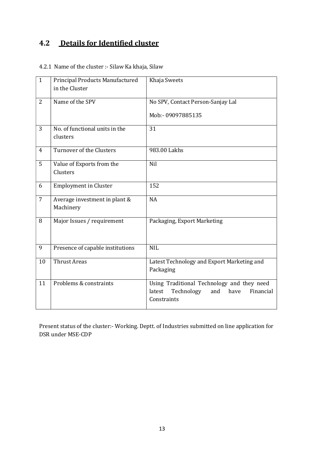### 4.2 Details for Identified cluster

4.2.1 Name of the cluster :- Silaw Ka khaja, Silaw

| $\mathbf{1}$   | Principal Products Manufactured<br>in the Cluster | Khaja Sweets                                                                                                  |
|----------------|---------------------------------------------------|---------------------------------------------------------------------------------------------------------------|
| $\overline{2}$ | Name of the SPV                                   | No SPV, Contact Person-Sanjay Lal<br>Mob:- 09097885135                                                        |
| 3              | No. of functional units in the<br>clusters        | 31                                                                                                            |
| 4              | Turnover of the Clusters                          | 983.00 Lakhs                                                                                                  |
| 5              | Value of Exports from the<br>Clusters             | Nil                                                                                                           |
| 6              | <b>Employment in Cluster</b>                      | 152                                                                                                           |
| $\overline{7}$ | Average investment in plant &<br>Machinery        | <b>NA</b>                                                                                                     |
| 8              | Major Issues / requirement                        | Packaging, Export Marketing                                                                                   |
| 9              | Presence of capable institutions                  | <b>NIL</b>                                                                                                    |
| 10             | <b>Thrust Areas</b>                               | Latest Technology and Export Marketing and<br>Packaging                                                       |
| 11             | Problems & constraints                            | Using Traditional Technology and they need<br>latest<br>Technology<br>have<br>Financial<br>and<br>Constraints |

Present status of the cluster:- Working. Deptt. of Industries submitted on line application for DSR under MSE-CDP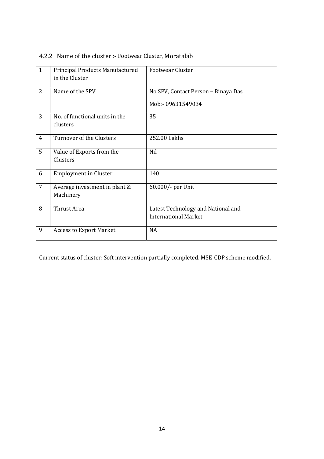| $\mathbf{1}$   | Principal Products Manufactured<br>in the Cluster | <b>Footwear Cluster</b>                                           |
|----------------|---------------------------------------------------|-------------------------------------------------------------------|
| $\overline{2}$ | Name of the SPV                                   | No SPV, Contact Person - Binaya Das<br>Mob:- 09631549034          |
| 3              | No. of functional units in the<br>clusters        | 35                                                                |
| 4              | Turnover of the Clusters                          | 252.00 Lakhs                                                      |
| 5              | Value of Exports from the<br>Clusters             | Nil                                                               |
| 6              | <b>Employment in Cluster</b>                      | 140                                                               |
| $\overline{7}$ | Average investment in plant &<br>Machinery        | 60,000/- per Unit                                                 |
| 8              | Thrust Area                                       | Latest Technology and National and<br><b>International Market</b> |
| 9              | <b>Access to Export Market</b>                    | <b>NA</b>                                                         |

 $\overline{\phantom{a}}$ 

#### 4.2.2 Name of the cluster :- Footwear Cluster, Moratalab

Current status of cluster: Soft intervention partially completed. MSE-CDP scheme modified.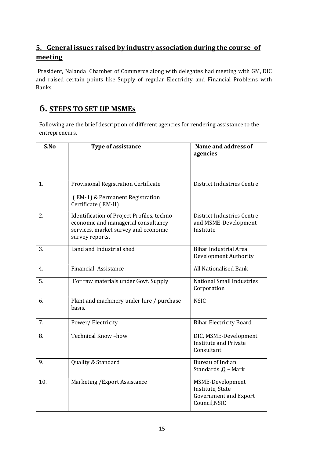#### 5. General issues raised by industry association during the course of meeting

President, Nalanda Chamber of Commerce along with delegates had meeting with GM, DIC and raised certain points like Supply of regular Electricity and Financial Problems with Banks.

#### 6. STEPS TO SET UP MSMEs

Following are the brief description of different agencies for rendering assistance to the entrepreneurs.

| S.No | <b>Type of assistance</b>                                                                                                                     | Name and address of<br>agencies                                                       |
|------|-----------------------------------------------------------------------------------------------------------------------------------------------|---------------------------------------------------------------------------------------|
| 1.   | Provisional Registration Certificate<br>(EM-1) & Permanent Registration<br>Certificate (EM-II)                                                | District Industries Centre                                                            |
| 2.   | Identification of Project Profiles, techno-<br>economic and managerial consultancy<br>services, market survey and economic<br>survey reports. | District Industries Centre<br>and MSME-Development<br>Institute                       |
| 3.   | Land and Industrial shed                                                                                                                      | <b>Bihar Industrial Area</b><br><b>Development Authority</b>                          |
| 4.   | <b>Financial Assistance</b>                                                                                                                   | <b>All Nationalised Bank</b>                                                          |
| 5.   | For raw materials under Govt. Supply                                                                                                          | <b>National Small Industries</b><br>Corporation                                       |
| 6.   | Plant and machinery under hire / purchase<br>basis.                                                                                           | <b>NSIC</b>                                                                           |
| 7.   | Power/Electricity                                                                                                                             | <b>Bihar Electricity Board</b>                                                        |
| 8.   | Technical Know-how.                                                                                                                           | DIC, MSME-Development<br><b>Institute and Private</b><br>Consultant                   |
| 9.   | Quality & Standard                                                                                                                            | <b>Bureau of Indian</b><br>Standards, Q - Mark                                        |
| 10.  | Marketing / Export Assistance                                                                                                                 | MSME-Development<br>Institute, State<br><b>Government and Export</b><br>Council, NSIC |